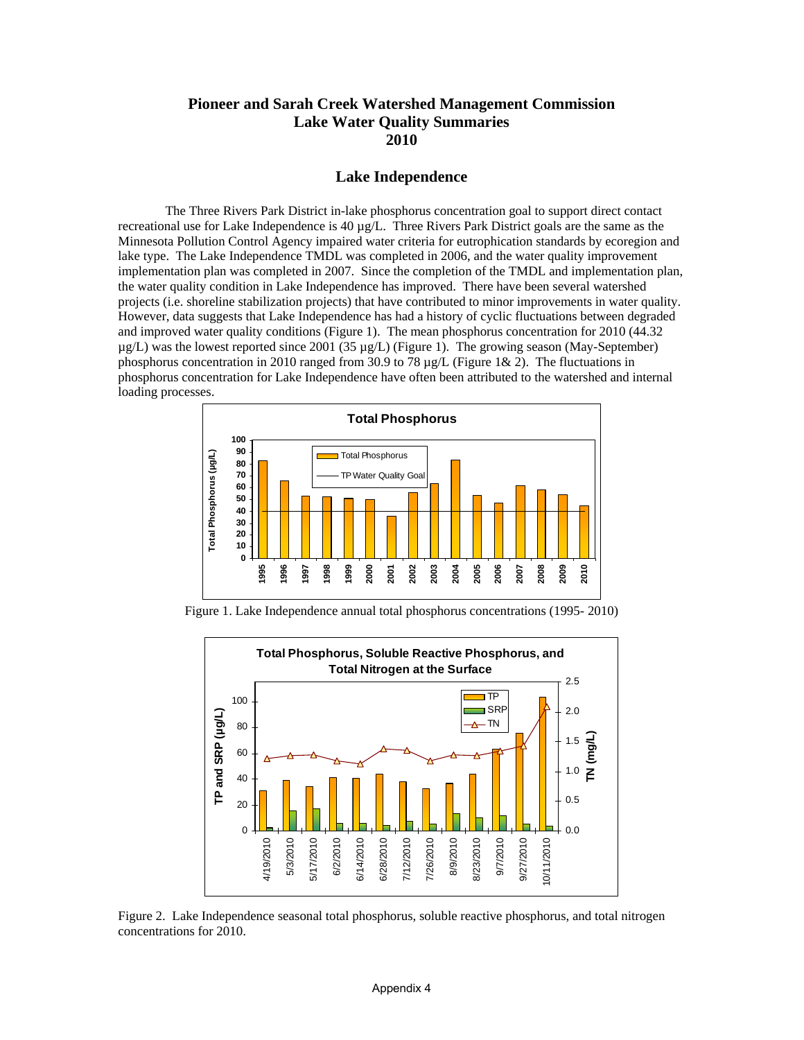# **Pioneer and Sarah Creek Watershed Management Commission Lake Water Quality Summaries 2010**

#### **Lake Independence**

The Three Rivers Park District in-lake phosphorus concentration goal to support direct contact recreational use for Lake Independence is  $40 \mu g/L$ . Three Rivers Park District goals are the same as the Minnesota Pollution Control Agency impaired water criteria for eutrophication standards by ecoregion and lake type. The Lake Independence TMDL was completed in 2006, and the water quality improvement implementation plan was completed in 2007. Since the completion of the TMDL and implementation plan, the water quality condition in Lake Independence has improved. There have been several watershed projects (i.e. shoreline stabilization projects) that have contributed to minor improvements in water quality. However, data suggests that Lake Independence has had a history of cyclic fluctuations between degraded and improved water quality conditions (Figure 1). The mean phosphorus concentration for 2010 (44.32 µg/L) was the lowest reported since 2001 (35 µg/L) (Figure 1). The growing season (May-September) phosphorus concentration in 2010 ranged from 30.9 to 78  $\mu$ g/L (Figure 1& 2). The fluctuations in phosphorus concentration for Lake Independence have often been attributed to the watershed and internal loading processes.



Figure 1. Lake Independence annual total phosphorus concentrations (1995- 2010)



Figure 2. Lake Independence seasonal total phosphorus, soluble reactive phosphorus, and total nitrogen concentrations for 2010.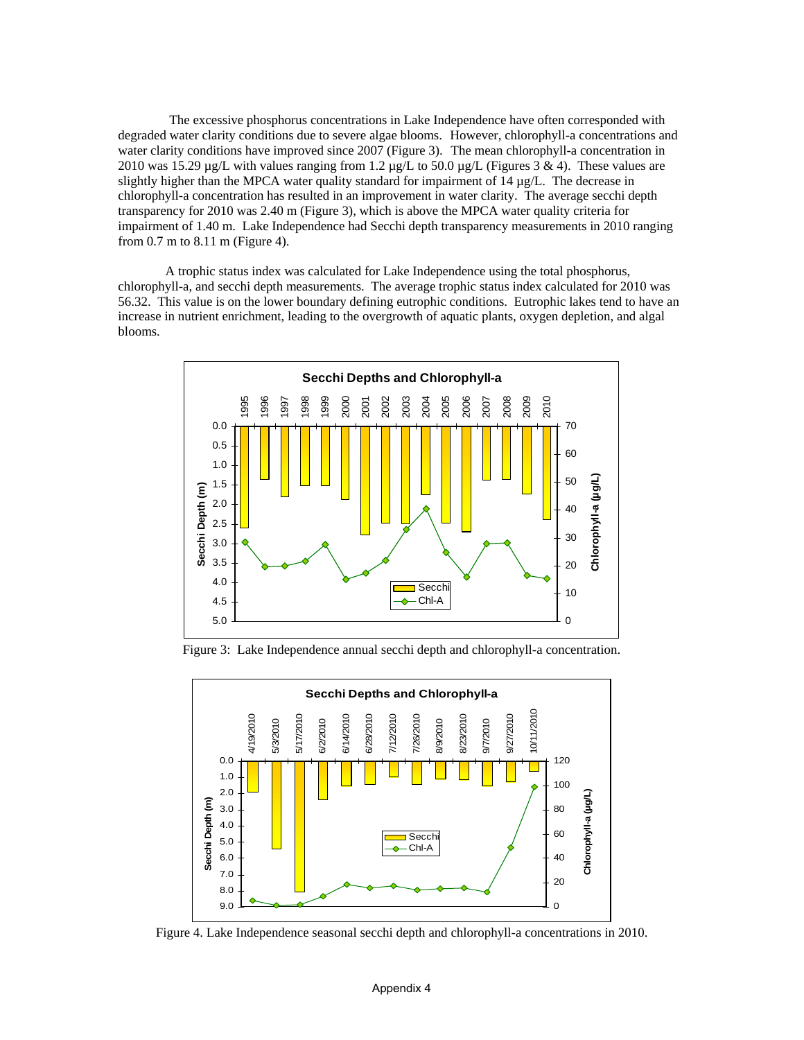The excessive phosphorus concentrations in Lake Independence have often corresponded with degraded water clarity conditions due to severe algae blooms. However, chlorophyll-a concentrations and water clarity conditions have improved since 2007 (Figure 3). The mean chlorophyll-a concentration in 2010 was 15.29  $\mu$ g/L with values ranging from 1.2  $\mu$ g/L to 50.0  $\mu$ g/L (Figures 3 & 4). These values are slightly higher than the MPCA water quality standard for impairment of  $14 \mu g/L$ . The decrease in chlorophyll-a concentration has resulted in an improvement in water clarity. The average secchi depth transparency for 2010 was 2.40 m (Figure 3), which is above the MPCA water quality criteria for impairment of 1.40 m. Lake Independence had Secchi depth transparency measurements in 2010 ranging from 0.7 m to 8.11 m (Figure 4).

A trophic status index was calculated for Lake Independence using the total phosphorus, chlorophyll-a, and secchi depth measurements. The average trophic status index calculated for 2010 was 56.32. This value is on the lower boundary defining eutrophic conditions. Eutrophic lakes tend to have an increase in nutrient enrichment, leading to the overgrowth of aquatic plants, oxygen depletion, and algal blooms.



Figure 3: Lake Independence annual secchi depth and chlorophyll-a concentration.



Figure 4. Lake Independence seasonal secchi depth and chlorophyll-a concentrations in 2010.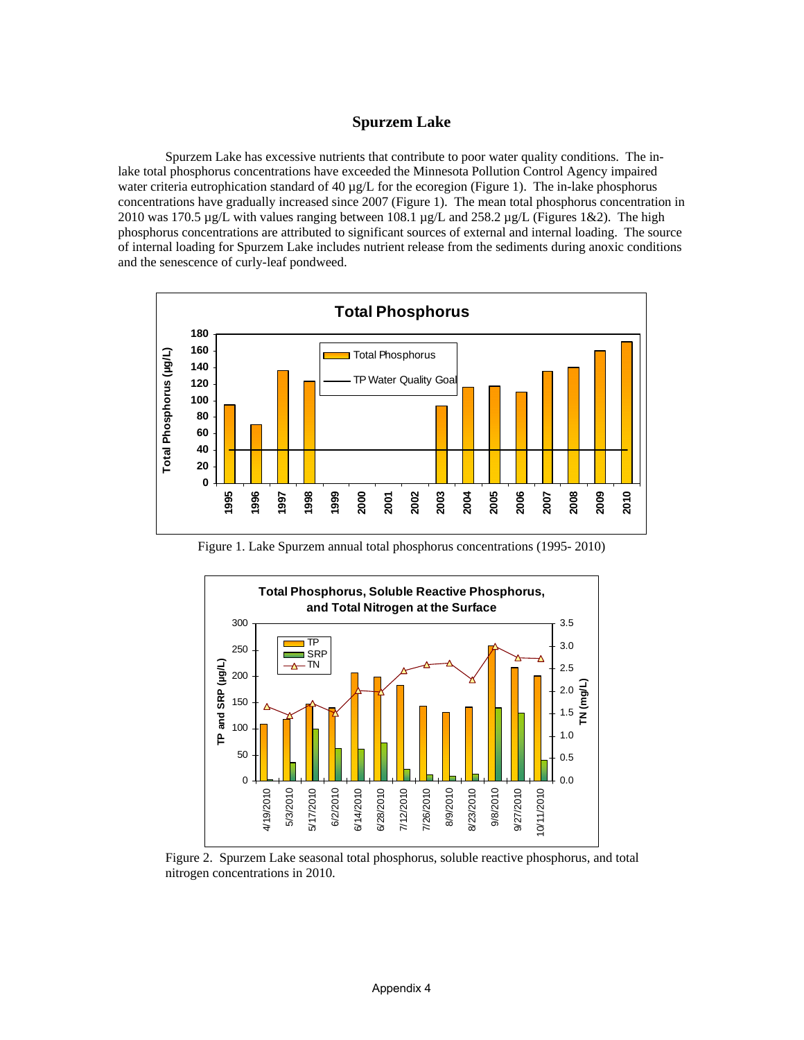## **Spurzem Lake**

Spurzem Lake has excessive nutrients that contribute to poor water quality conditions. The inlake total phosphorus concentrations have exceeded the Minnesota Pollution Control Agency impaired water criteria eutrophication standard of 40  $\mu$ g/L for the ecoregion (Figure 1). The in-lake phosphorus concentrations have gradually increased since 2007 (Figure 1). The mean total phosphorus concentration in 2010 was 170.5  $\mu$ g/L with values ranging between 108.1  $\mu$ g/L and 258.2  $\mu$ g/L (Figures 1&2). The high phosphorus concentrations are attributed to significant sources of external and internal loading. The source of internal loading for Spurzem Lake includes nutrient release from the sediments during anoxic conditions and the senescence of curly-leaf pondweed.



Figure 1. Lake Spurzem annual total phosphorus concentrations (1995- 2010)



Figure 2. Spurzem Lake seasonal total phosphorus, soluble reactive phosphorus, and total nitrogen concentrations in 2010.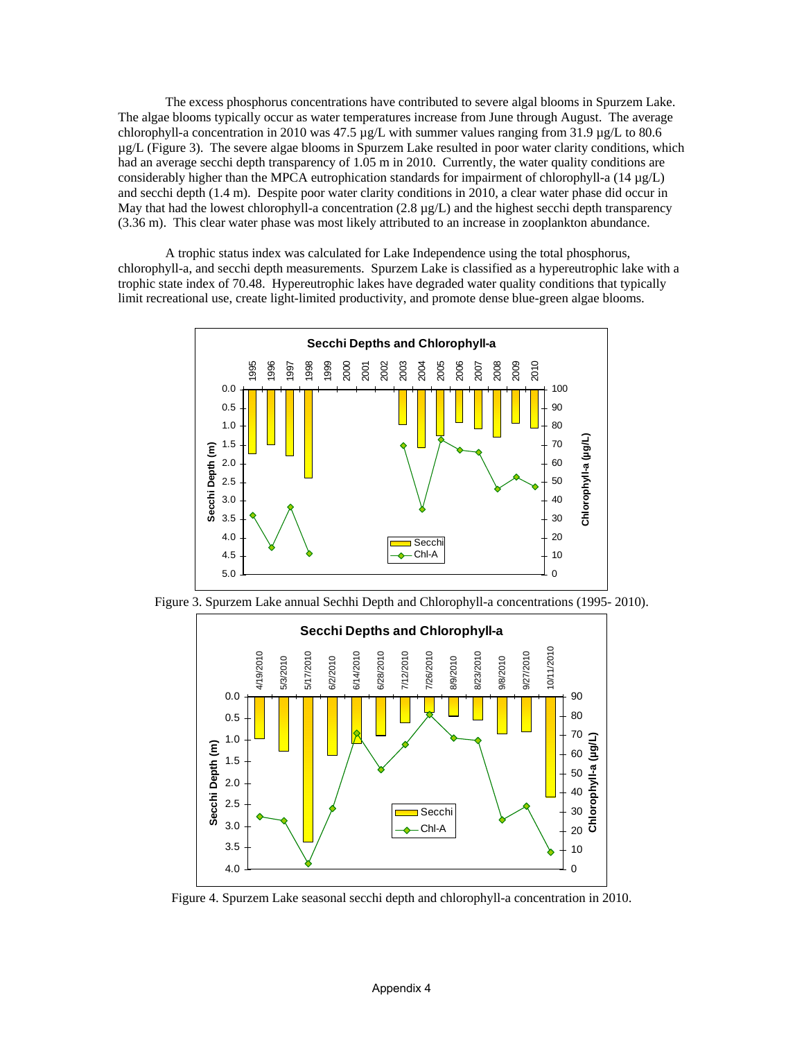The excess phosphorus concentrations have contributed to severe algal blooms in Spurzem Lake. The algae blooms typically occur as water temperatures increase from June through August. The average chlorophyll-a concentration in 2010 was 47.5 µg/L with summer values ranging from 31.9 µg/L to 80.6 µg/L (Figure 3). The severe algae blooms in Spurzem Lake resulted in poor water clarity conditions, which had an average secchi depth transparency of 1.05 m in 2010. Currently, the water quality conditions are considerably higher than the MPCA eutrophication standards for impairment of chlorophyll-a  $(14 \mu g/L)$ and secchi depth (1.4 m). Despite poor water clarity conditions in 2010, a clear water phase did occur in May that had the lowest chlorophyll-a concentration  $(2.8 \mu g/L)$  and the highest secchi depth transparency (3.36 m). This clear water phase was most likely attributed to an increase in zooplankton abundance.

A trophic status index was calculated for Lake Independence using the total phosphorus, chlorophyll-a, and secchi depth measurements. Spurzem Lake is classified as a hypereutrophic lake with a trophic state index of 70.48. Hypereutrophic lakes have degraded water quality conditions that typically limit recreational use, create light-limited productivity, and promote dense blue-green algae blooms.



Figure 3. Spurzem Lake annual Sechhi Depth and Chlorophyll-a concentrations (1995- 2010).



Figure 4. Spurzem Lake seasonal secchi depth and chlorophyll-a concentration in 2010.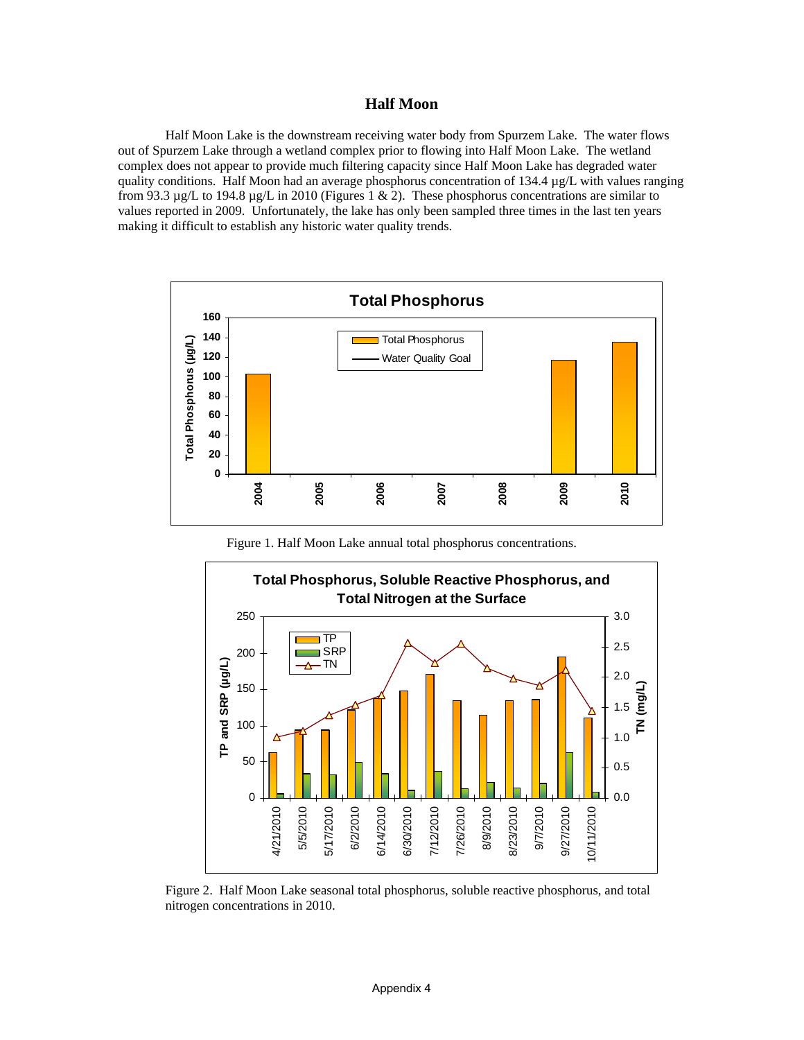### **Half Moon**

 Half Moon Lake is the downstream receiving water body from Spurzem Lake. The water flows out of Spurzem Lake through a wetland complex prior to flowing into Half Moon Lake. The wetland complex does not appear to provide much filtering capacity since Half Moon Lake has degraded water quality conditions. Half Moon had an average phosphorus concentration of 134.4  $\mu$ g/L with values ranging from 93.3  $\mu$ g/L to 194.8  $\mu$ g/L in 2010 (Figures 1 & 2). These phosphorus concentrations are similar to values reported in 2009. Unfortunately, the lake has only been sampled three times in the last ten years making it difficult to establish any historic water quality trends.



Figure 1. Half Moon Lake annual total phosphorus concentrations.



Figure 2. Half Moon Lake seasonal total phosphorus, soluble reactive phosphorus, and total nitrogen concentrations in 2010.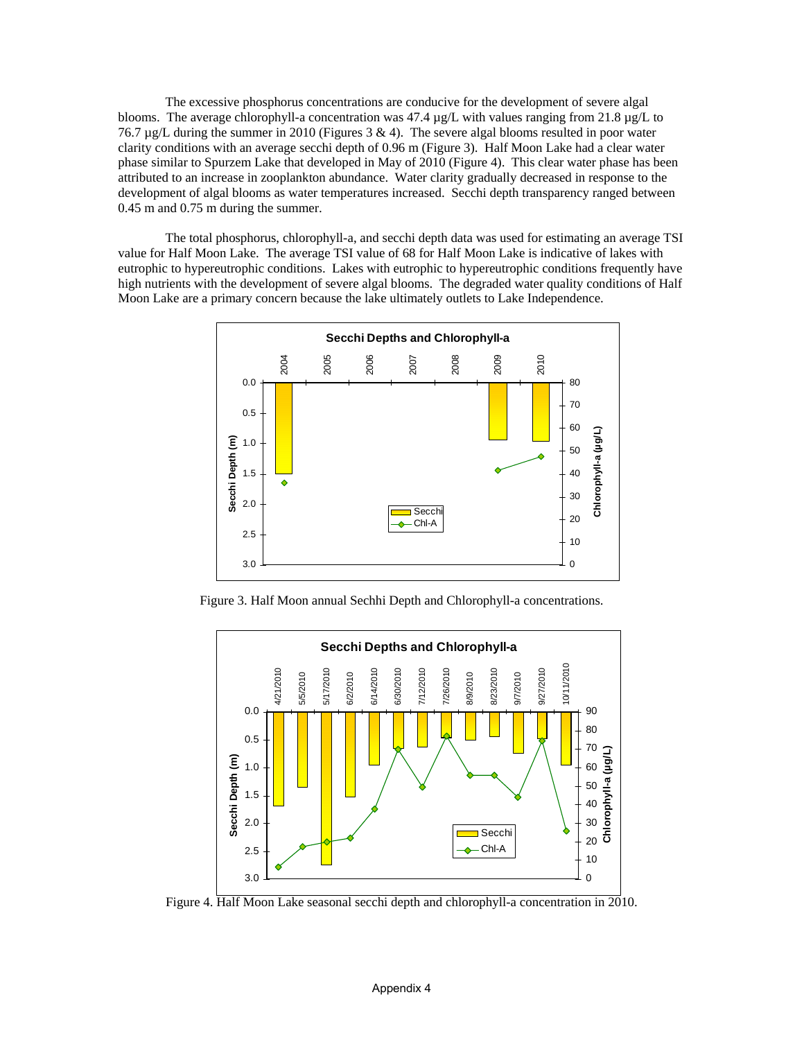The excessive phosphorus concentrations are conducive for the development of severe algal blooms. The average chlorophyll-a concentration was 47.4  $\mu$ g/L with values ranging from 21.8  $\mu$ g/L to 76.7  $\mu$ g/L during the summer in 2010 (Figures 3 & 4). The severe algal blooms resulted in poor water clarity conditions with an average secchi depth of 0.96 m (Figure 3). Half Moon Lake had a clear water phase similar to Spurzem Lake that developed in May of 2010 (Figure 4). This clear water phase has been attributed to an increase in zooplankton abundance. Water clarity gradually decreased in response to the development of algal blooms as water temperatures increased. Secchi depth transparency ranged between 0.45 m and 0.75 m during the summer.

 The total phosphorus, chlorophyll-a, and secchi depth data was used for estimating an average TSI value for Half Moon Lake. The average TSI value of 68 for Half Moon Lake is indicative of lakes with eutrophic to hypereutrophic conditions. Lakes with eutrophic to hypereutrophic conditions frequently have high nutrients with the development of severe algal blooms. The degraded water quality conditions of Half Moon Lake are a primary concern because the lake ultimately outlets to Lake Independence.



Figure 3. Half Moon annual Sechhi Depth and Chlorophyll-a concentrations.



Figure 4. Half Moon Lake seasonal secchi depth and chlorophyll-a concentration in 2010.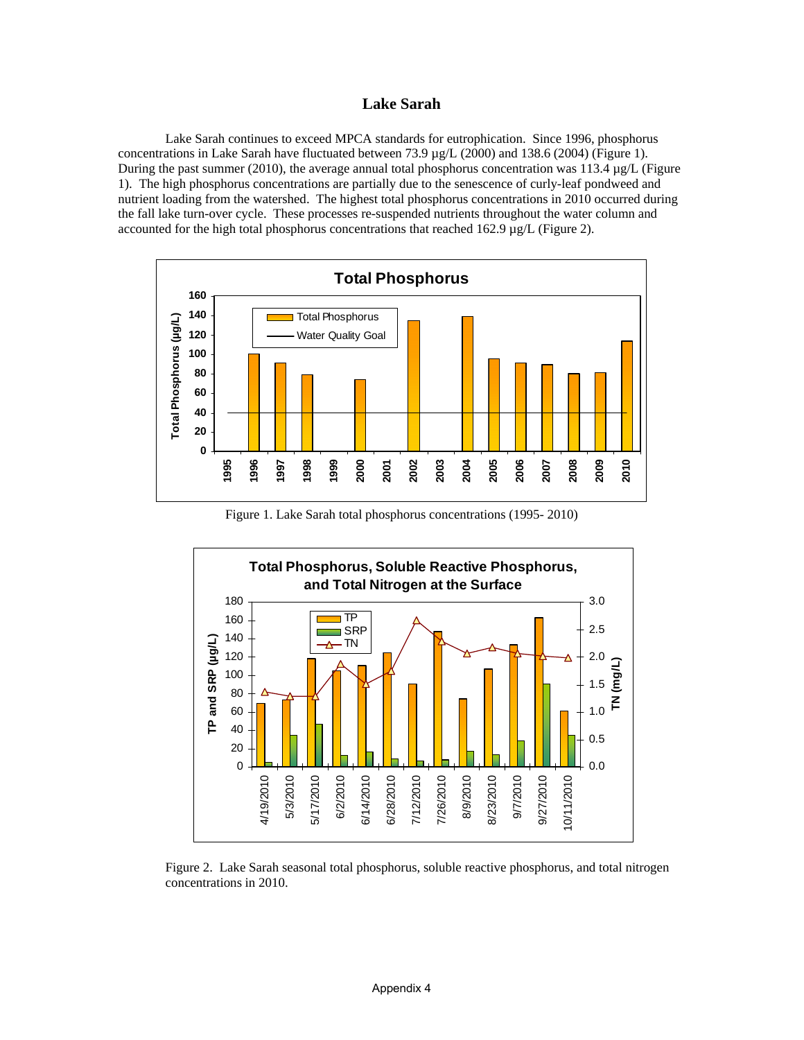### **Lake Sarah**

Lake Sarah continues to exceed MPCA standards for eutrophication. Since 1996, phosphorus concentrations in Lake Sarah have fluctuated between 73.9  $\mu g/L$  (2000) and 138.6 (2004) (Figure 1). During the past summer (2010), the average annual total phosphorus concentration was 113.4  $\mu$ g/L (Figure 1). The high phosphorus concentrations are partially due to the senescence of curly-leaf pondweed and nutrient loading from the watershed. The highest total phosphorus concentrations in 2010 occurred during the fall lake turn-over cycle. These processes re-suspended nutrients throughout the water column and accounted for the high total phosphorus concentrations that reached 162.9  $\mu$ g/L (Figure 2).



Figure 1. Lake Sarah total phosphorus concentrations (1995- 2010)



Figure 2. Lake Sarah seasonal total phosphorus, soluble reactive phosphorus, and total nitrogen concentrations in 2010.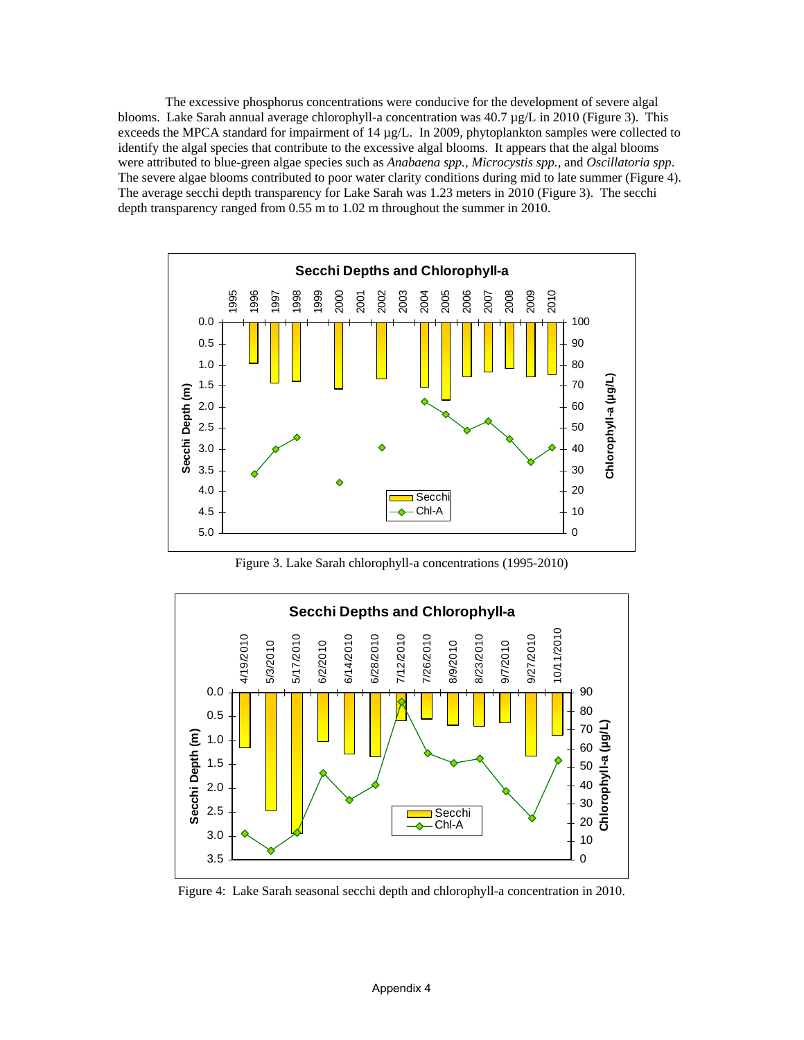The excessive phosphorus concentrations were conducive for the development of severe algal blooms. Lake Sarah annual average chlorophyll-a concentration was 40.7 µg/L in 2010 (Figure 3). This exceeds the MPCA standard for impairment of 14 µg/L. In 2009, phytoplankton samples were collected to identify the algal species that contribute to the excessive algal blooms. It appears that the algal blooms were attributed to blue-green algae species such as *Anabaena spp., Microcystis spp.,* and *Oscillatoria spp*. The severe algae blooms contributed to poor water clarity conditions during mid to late summer (Figure 4). The average secchi depth transparency for Lake Sarah was 1.23 meters in 2010 (Figure 3). The secchi depth transparency ranged from 0.55 m to 1.02 m throughout the summer in 2010.



Figure 3. Lake Sarah chlorophyll-a concentrations (1995-2010)



Figure 4: Lake Sarah seasonal secchi depth and chlorophyll-a concentration in 2010.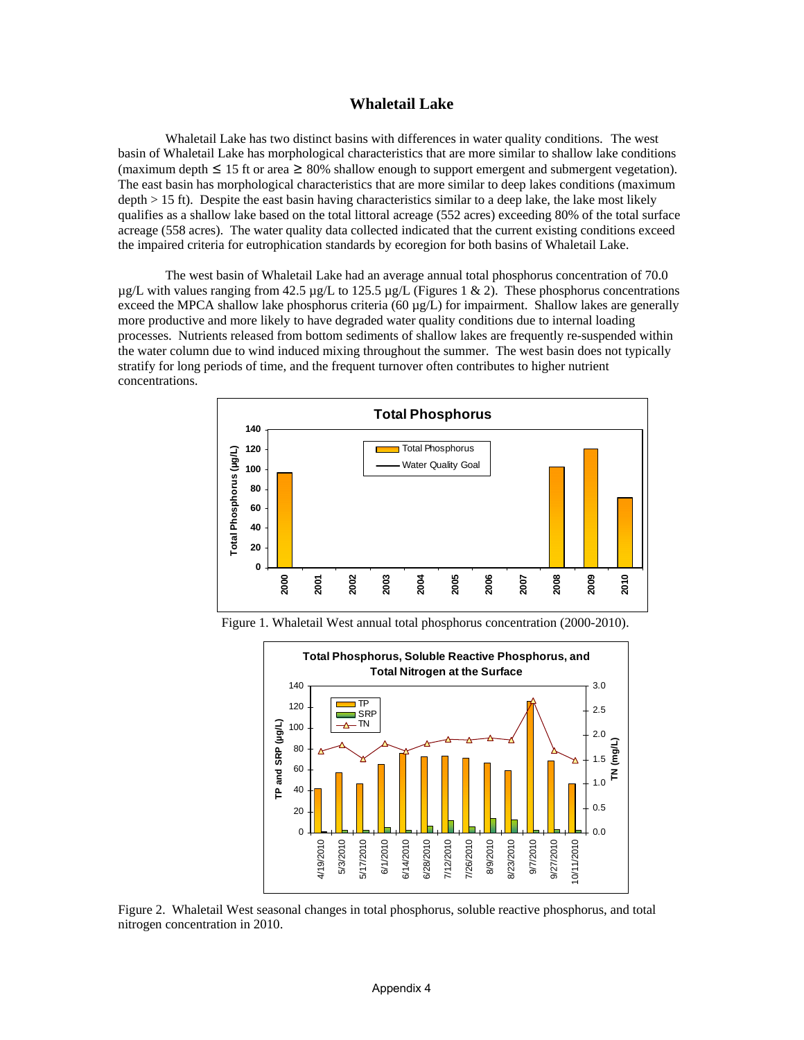#### **Whaletail Lake**

Whaletail Lake has two distinct basins with differences in water quality conditions. The west basin of Whaletail Lake has morphological characteristics that are more similar to shallow lake conditions (maximum depth  $\leq 15$  ft or area  $\geq 80\%$  shallow enough to support emergent and submergent vegetation). The east basin has morphological characteristics that are more similar to deep lakes conditions (maximum depth > 15 ft). Despite the east basin having characteristics similar to a deep lake, the lake most likely qualifies as a shallow lake based on the total littoral acreage (552 acres) exceeding 80% of the total surface acreage (558 acres). The water quality data collected indicated that the current existing conditions exceed the impaired criteria for eutrophication standards by ecoregion for both basins of Whaletail Lake.

The west basin of Whaletail Lake had an average annual total phosphorus concentration of 70.0  $\mu$ g/L with values ranging from 42.5  $\mu$ g/L to 125.5  $\mu$ g/L (Figures 1 & 2). These phosphorus concentrations exceed the MPCA shallow lake phosphorus criteria (60  $\mu$ g/L) for impairment. Shallow lakes are generally more productive and more likely to have degraded water quality conditions due to internal loading processes. Nutrients released from bottom sediments of shallow lakes are frequently re-suspended within the water column due to wind induced mixing throughout the summer. The west basin does not typically stratify for long periods of time, and the frequent turnover often contributes to higher nutrient concentrations.



Figure 1. Whaletail West annual total phosphorus concentration (2000-2010).



Figure 2. Whaletail West seasonal changes in total phosphorus, soluble reactive phosphorus, and total nitrogen concentration in 2010.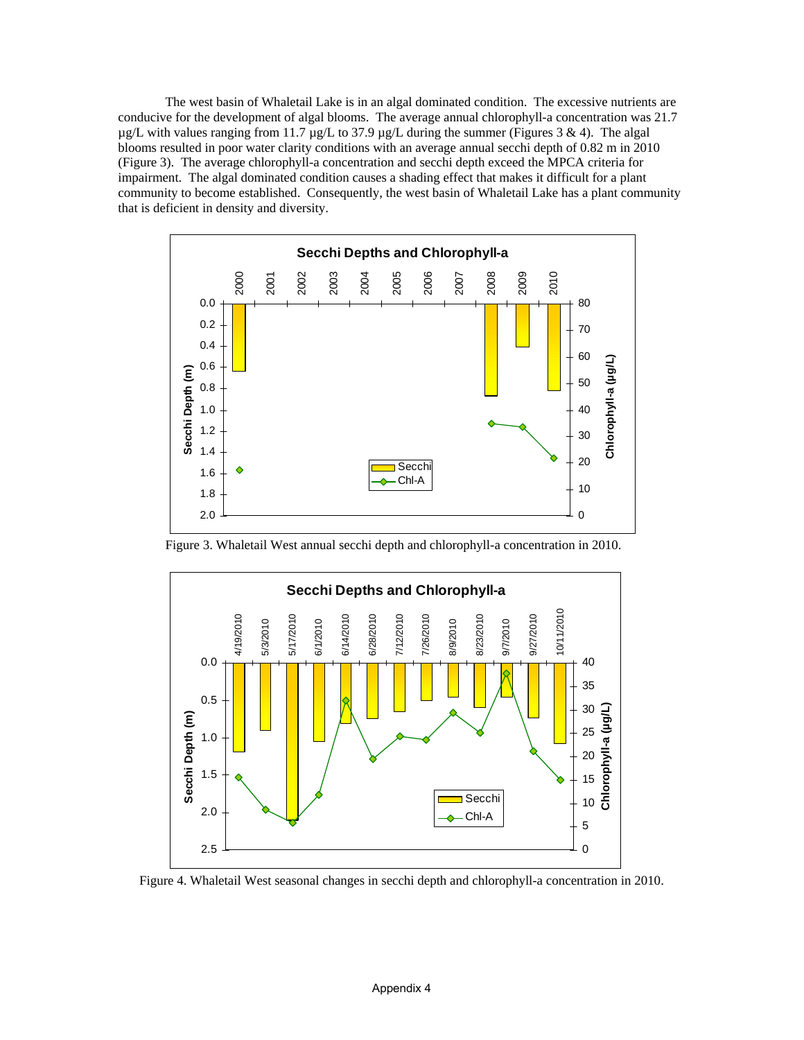The west basin of Whaletail Lake is in an algal dominated condition. The excessive nutrients are conducive for the development of algal blooms. The average annual chlorophyll-a concentration was 21.7  $\mu$ g/L with values ranging from 11.7  $\mu$ g/L to 37.9  $\mu$ g/L during the summer (Figures 3 & 4). The algal blooms resulted in poor water clarity conditions with an average annual secchi depth of 0.82 m in 2010 (Figure 3). The average chlorophyll-a concentration and secchi depth exceed the MPCA criteria for impairment. The algal dominated condition causes a shading effect that makes it difficult for a plant community to become established. Consequently, the west basin of Whaletail Lake has a plant community that is deficient in density and diversity.



Figure 3. Whaletail West annual secchi depth and chlorophyll-a concentration in 2010.



Figure 4. Whaletail West seasonal changes in secchi depth and chlorophyll-a concentration in 2010.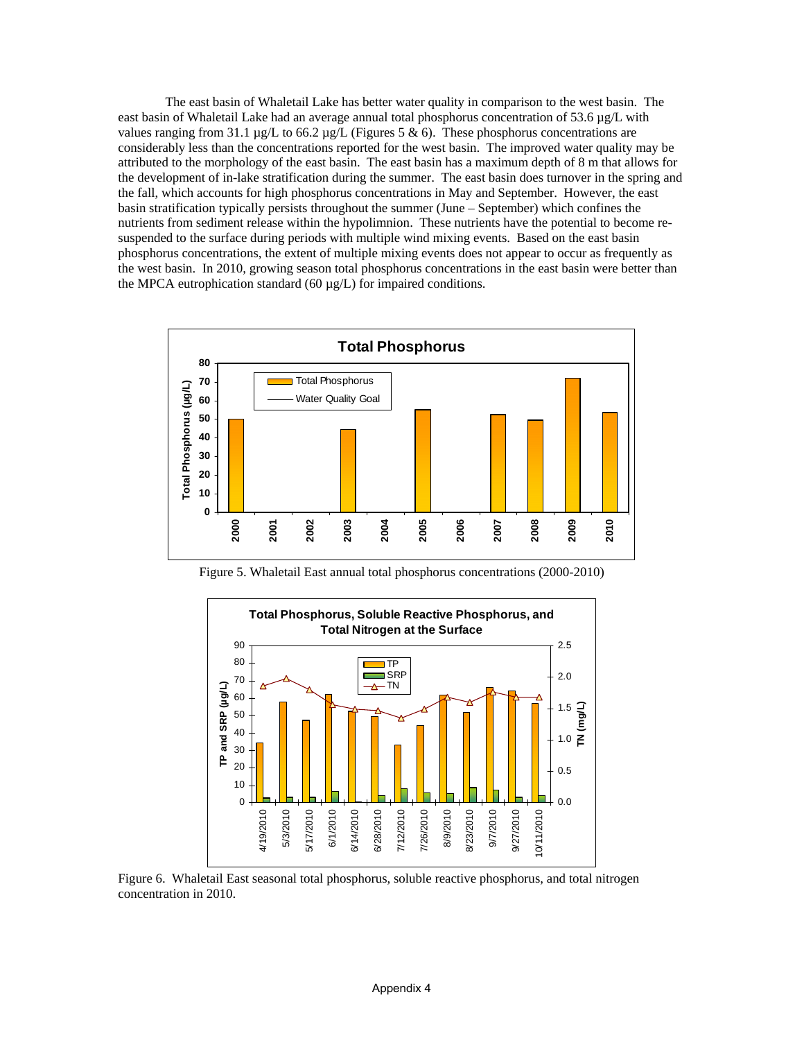The east basin of Whaletail Lake has better water quality in comparison to the west basin. The east basin of Whaletail Lake had an average annual total phosphorus concentration of 53.6 µg/L with values ranging from 31.1 µg/L to 66.2 µg/L (Figures 5 & 6). These phosphorus concentrations are considerably less than the concentrations reported for the west basin. The improved water quality may be attributed to the morphology of the east basin. The east basin has a maximum depth of 8 m that allows for the development of in-lake stratification during the summer. The east basin does turnover in the spring and the fall, which accounts for high phosphorus concentrations in May and September. However, the east basin stratification typically persists throughout the summer (June – September) which confines the nutrients from sediment release within the hypolimnion. These nutrients have the potential to become resuspended to the surface during periods with multiple wind mixing events. Based on the east basin phosphorus concentrations, the extent of multiple mixing events does not appear to occur as frequently as the west basin. In 2010, growing season total phosphorus concentrations in the east basin were better than the MPCA eutrophication standard  $(60 \mu g/L)$  for impaired conditions.



Figure 5. Whaletail East annual total phosphorus concentrations (2000-2010)



Figure 6. Whaletail East seasonal total phosphorus, soluble reactive phosphorus, and total nitrogen concentration in 2010.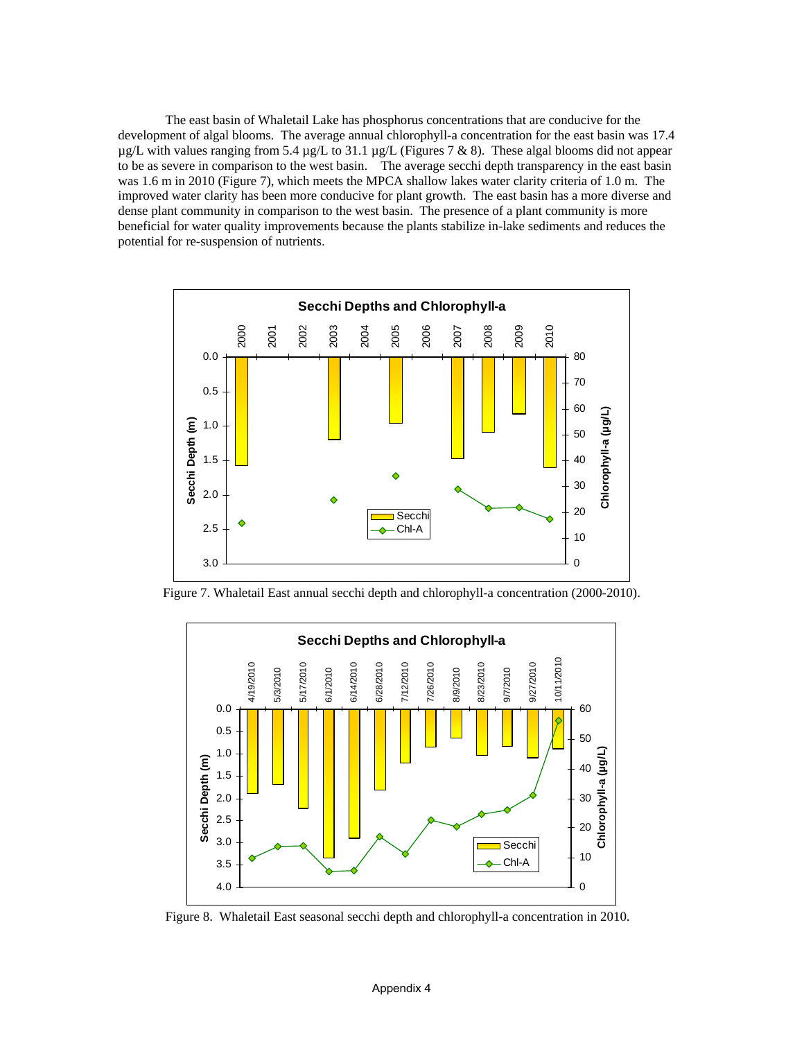The east basin of Whaletail Lake has phosphorus concentrations that are conducive for the development of algal blooms. The average annual chlorophyll-a concentration for the east basin was 17.4  $\mu$ g/L with values ranging from 5.4  $\mu$ g/L to 31.1  $\mu$ g/L (Figures 7 & 8). These algal blooms did not appear to be as severe in comparison to the west basin. The average secchi depth transparency in the east basin was 1.6 m in 2010 (Figure 7), which meets the MPCA shallow lakes water clarity criteria of 1.0 m. The improved water clarity has been more conducive for plant growth. The east basin has a more diverse and dense plant community in comparison to the west basin. The presence of a plant community is more beneficial for water quality improvements because the plants stabilize in-lake sediments and reduces the potential for re-suspension of nutrients.



Figure 7. Whaletail East annual secchi depth and chlorophyll-a concentration (2000-2010).



Figure 8. Whaletail East seasonal secchi depth and chlorophyll-a concentration in 2010.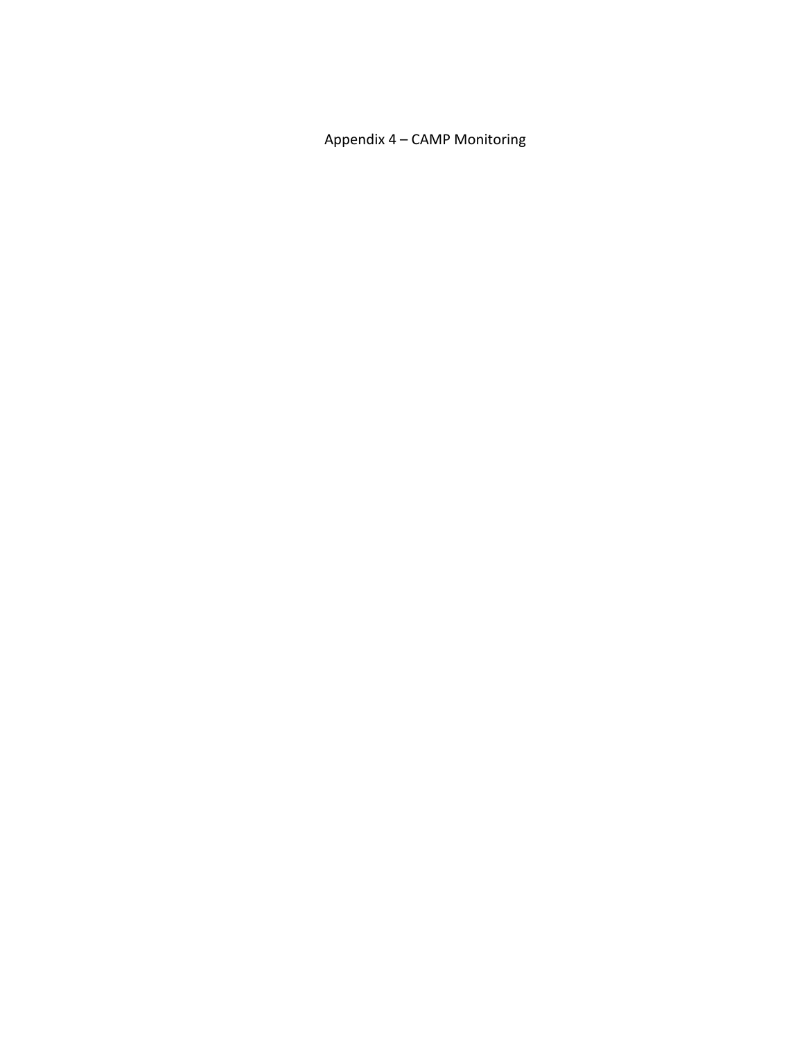Appendix 4 – CAMP Monitoring